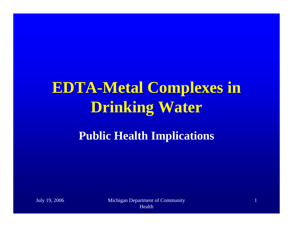# **EDTA-Metal Complexes in Drinking Water Public Health Implications**

July 19, 2006 Michigan Department of Community Health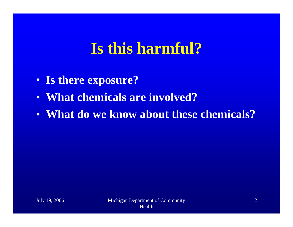#### **Is this harmful?**

- **Is there exposure?**
- **What chemicals are involved?**
- **What do we know about these chemicals?**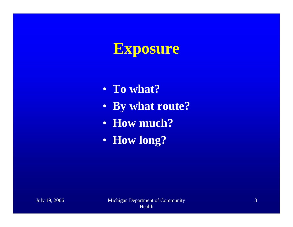## **Exposure**

- **To what?**
- **By what route?**
- **How much?**
- **How long?**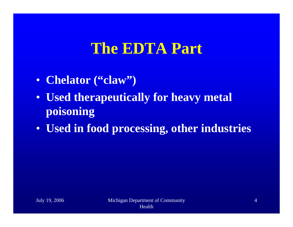#### **The EDTA Part**

- **Chelator ("claw")**
- **Used therapeutically for heavy metal poisoning**
- **Used in food processing, other industries**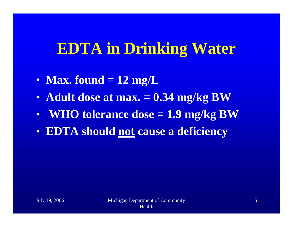#### **EDTA in Drinking Water**

- **Max. found = 12 mg/L**
- **Adult dose at max. = 0.34 mg/kg BW**
- •**WHO tolerance dose = 1.9 mg/kg BW**
- **EDTA should not cause a deficiency**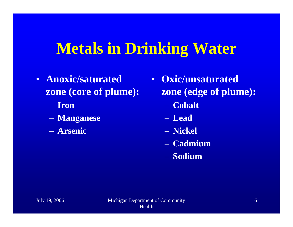#### **Metals in Drinking Water**

- **Anoxic/saturated zone (core of plume):**
	- **Iron**
	- **Manganese**
	- **Arsenic**
- **Oxic/unsaturated zone (edge of plume):**
	- **Cobalt**
	- **Lead**
	- **Nickel**
	- **Cadmium**
	- **Sodium**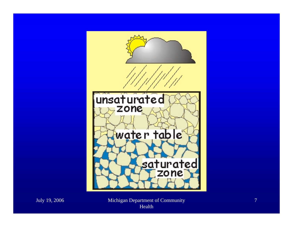

July 19, 2006 Michigan Department of Community Health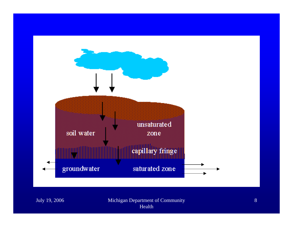

July 19, 2006 Michigan Department of Community Health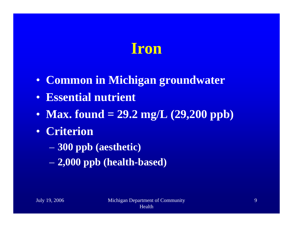#### **Iron**

- **Common in Michigan groundwater**
- **Essential nutrient**
- **Max. found = 29.2 mg/L (29,200 ppb)**
- **Criterion** 
	- **300 ppb (aesthetic)**
	- **2,000 ppb (health-based)**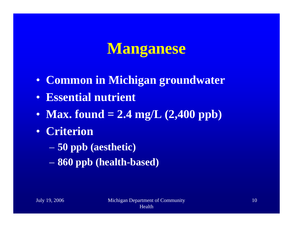#### **Manganese**

- **Common in Michigan groundwater**
- **Essential nutrient**
- **Max. found = 2.4 mg/L (2,400 ppb)**
- **Criterion** 
	- **50 ppb (aesthetic)**
	- **860 ppb (health-based)**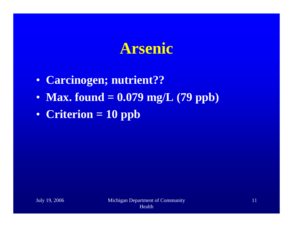#### **Arsenic**

- **Carcinogen; nutrient??**
- **Max. found = 0.079 mg/L (79 ppb)**
- **Criterion = 10 ppb**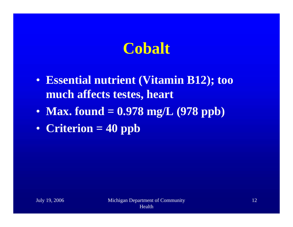## **Cobalt**

- **Essential nutrient (Vitamin B12); too much affects testes, heart**
- **Max. found = 0.978 mg/L (978 ppb)**
- **Criterion = 40 ppb**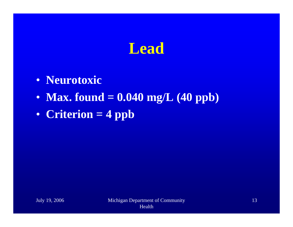## **Lead**

- **Neurotoxic**
- **Max. found = 0.040 mg/L (40 ppb)**
- **Criterion = 4 ppb**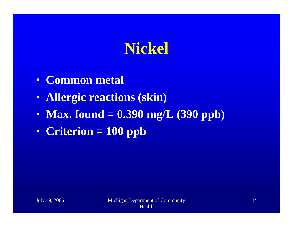## **Nickel**

- **Common metal**
- **Allergic reactions (skin)**
- **Max. found = 0.390 mg/L (390 ppb)**
- **Criterion = 100 ppb**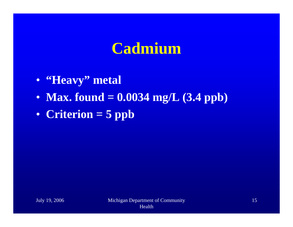#### **Cadmium**

- **"Heavy" metal**
- **Max. found = 0.0034 mg/L (3.4 ppb)**
- **Criterion = 5 ppb**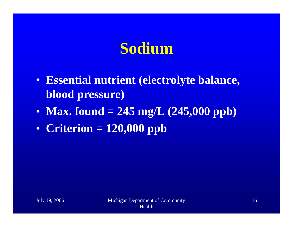## **Sodium**

- **Essential nutrient (electrolyte balance, blood pressure)**
- **Max. found = 245 mg/L (245,000 ppb)**
- **Criterion = 120,000 ppb**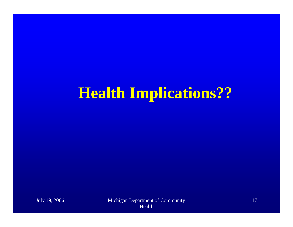## **Health Implications??**

July 19, 2006 Michigan Department of Community Health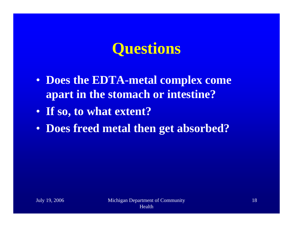## **Questions**

- **Does the EDTA-metal complex come apart in the stomach or intestine?**
- **If so, to what extent?**
- **Does freed metal then get absorbed?**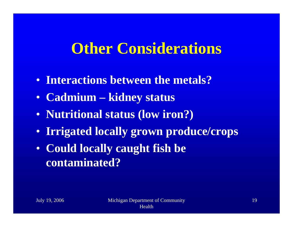#### **Other Considerations**

- **Interactions between the metals?**
- **Cadmium – kidney status**
- **Nutritional status (low iron?)**
- **Irrigated locally grown produce/crops**
- **Could locally caught fish be contaminated?**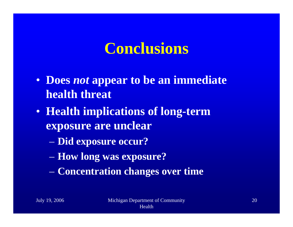#### **Conclusions**

- **Does** *not* **appear to be an immediate health threat**
- **Health implications of long-term exposure are unclear**
	- **Did exposure occur?**
	- **How long was exposure?**
	- **Concentration changes over time**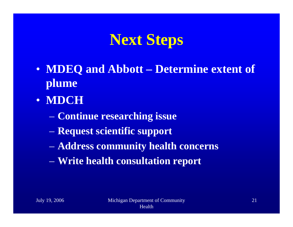#### **Next Steps**

- **MDEQ and Abbott – Determine extent of plume**
- **MDCH**
	- **Continue researching issue**
	- **Request scientific support**
	- **Address community health concerns**
	- **Write health consultation report**